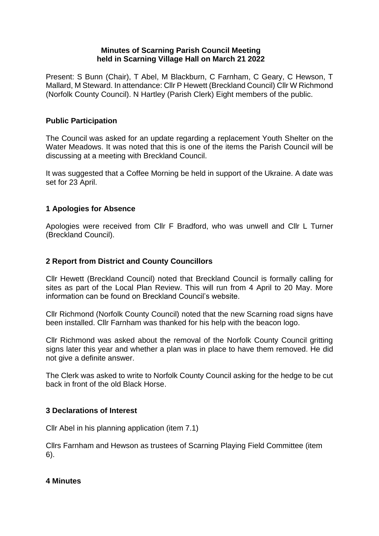## **Minutes of Scarning Parish Council Meeting held in Scarning Village Hall on March 21 2022**

Present: S Bunn (Chair), T Abel, M Blackburn, C Farnham, C Geary, C Hewson, T Mallard, M Steward. In attendance: Cllr P Hewett (Breckland Council) Cllr W Richmond (Norfolk County Council). N Hartley (Parish Clerk) Eight members of the public.

## **Public Participation**

The Council was asked for an update regarding a replacement Youth Shelter on the Water Meadows. It was noted that this is one of the items the Parish Council will be discussing at a meeting with Breckland Council.

It was suggested that a Coffee Morning be held in support of the Ukraine. A date was set for 23 April.

# **1 Apologies for Absence**

Apologies were received from Cllr F Bradford, who was unwell and Cllr L Turner (Breckland Council).

# **2 Report from District and County Councillors**

Cllr Hewett (Breckland Council) noted that Breckland Council is formally calling for sites as part of the Local Plan Review. This will run from 4 April to 20 May. More information can be found on Breckland Council's website.

Cllr Richmond (Norfolk County Council) noted that the new Scarning road signs have been installed. Cllr Farnham was thanked for his help with the beacon logo.

Cllr Richmond was asked about the removal of the Norfolk County Council gritting signs later this year and whether a plan was in place to have them removed. He did not give a definite answer.

The Clerk was asked to write to Norfolk County Council asking for the hedge to be cut back in front of the old Black Horse.

#### **3 Declarations of Interest**

Cllr Abel in his planning application (item 7.1)

Cllrs Farnham and Hewson as trustees of Scarning Playing Field Committee (item 6).

#### **4 Minutes**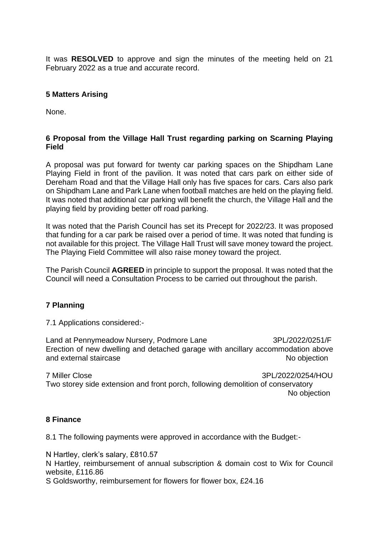It was **RESOLVED** to approve and sign the minutes of the meeting held on 21 February 2022 as a true and accurate record.

## **5 Matters Arising**

None.

## **6 Proposal from the Village Hall Trust regarding parking on Scarning Playing Field**

A proposal was put forward for twenty car parking spaces on the Shipdham Lane Playing Field in front of the pavilion. It was noted that cars park on either side of Dereham Road and that the Village Hall only has five spaces for cars. Cars also park on Shipdham Lane and Park Lane when football matches are held on the playing field. It was noted that additional car parking will benefit the church, the Village Hall and the playing field by providing better off road parking.

It was noted that the Parish Council has set its Precept for 2022/23. It was proposed that funding for a car park be raised over a period of time. It was noted that funding is not available for this project. The Village Hall Trust will save money toward the project. The Playing Field Committee will also raise money toward the project.

The Parish Council **AGREED** in principle to support the proposal. It was noted that the Council will need a Consultation Process to be carried out throughout the parish.

#### **7 Planning**

7.1 Applications considered:-

Land at Pennymeadow Nursery, Podmore Lane 3PL/2022/0251/F Erection of new dwelling and detached garage with ancillary accommodation above and external staircase No objection

7 Miller Close 3PL/2022/0254/HOU Two storey side extension and front porch, following demolition of conservatory No objection

#### **8 Finance**

8.1 The following payments were approved in accordance with the Budget:-

N Hartley, clerk's salary, £810.57

N Hartley, reimbursement of annual subscription & domain cost to Wix for Council website, £116.86

S Goldsworthy, reimbursement for flowers for flower box, £24.16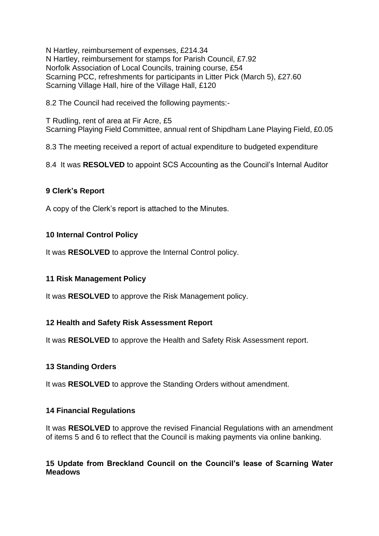N Hartley, reimbursement of expenses, £214.34 N Hartley, reimbursement for stamps for Parish Council, £7.92 Norfolk Association of Local Councils, training course, £54 Scarning PCC, refreshments for participants in Litter Pick (March 5), £27.60 Scarning Village Hall, hire of the Village Hall, £120

8.2 The Council had received the following payments:-

T Rudling, rent of area at Fir Acre, £5 Scarning Playing Field Committee, annual rent of Shipdham Lane Playing Field, £0.05

8.3 The meeting received a report of actual expenditure to budgeted expenditure

8.4 It was **RESOLVED** to appoint SCS Accounting as the Council's Internal Auditor

# **9 Clerk's Report**

A copy of the Clerk's report is attached to the Minutes.

# **10 Internal Control Policy**

It was **RESOLVED** to approve the Internal Control policy.

#### **11 Risk Management Policy**

It was **RESOLVED** to approve the Risk Management policy.

#### **12 Health and Safety Risk Assessment Report**

It was **RESOLVED** to approve the Health and Safety Risk Assessment report.

#### **13 Standing Orders**

It was **RESOLVED** to approve the Standing Orders without amendment.

#### **14 Financial Regulations**

It was **RESOLVED** to approve the revised Financial Regulations with an amendment of items 5 and 6 to reflect that the Council is making payments via online banking.

# **15 Update from Breckland Council on the Council's lease of Scarning Water Meadows**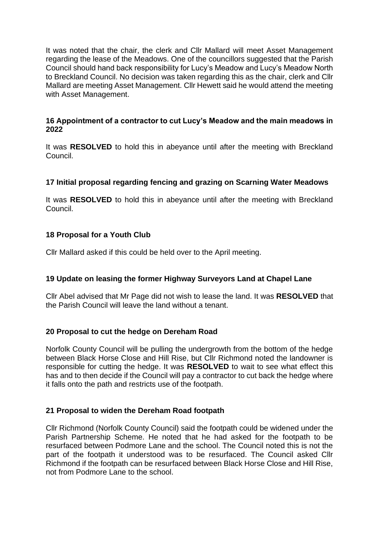It was noted that the chair, the clerk and Cllr Mallard will meet Asset Management regarding the lease of the Meadows. One of the councillors suggested that the Parish Council should hand back responsibility for Lucy's Meadow and Lucy's Meadow North to Breckland Council. No decision was taken regarding this as the chair, clerk and Cllr Mallard are meeting Asset Management. Cllr Hewett said he would attend the meeting with Asset Management.

# **16 Appointment of a contractor to cut Lucy's Meadow and the main meadows in 2022**

It was **RESOLVED** to hold this in abeyance until after the meeting with Breckland Council.

# **17 Initial proposal regarding fencing and grazing on Scarning Water Meadows**

It was **RESOLVED** to hold this in abeyance until after the meeting with Breckland Council.

#### **18 Proposal for a Youth Club**

Cllr Mallard asked if this could be held over to the April meeting.

#### **19 Update on leasing the former Highway Surveyors Land at Chapel Lane**

Cllr Abel advised that Mr Page did not wish to lease the land. It was **RESOLVED** that the Parish Council will leave the land without a tenant.

#### **20 Proposal to cut the hedge on Dereham Road**

Norfolk County Council will be pulling the undergrowth from the bottom of the hedge between Black Horse Close and Hill Rise, but Cllr Richmond noted the landowner is responsible for cutting the hedge. It was **RESOLVED** to wait to see what effect this has and to then decide if the Council will pay a contractor to cut back the hedge where it falls onto the path and restricts use of the footpath.

#### **21 Proposal to widen the Dereham Road footpath**

Cllr Richmond (Norfolk County Council) said the footpath could be widened under the Parish Partnership Scheme. He noted that he had asked for the footpath to be resurfaced between Podmore Lane and the school. The Council noted this is not the part of the footpath it understood was to be resurfaced. The Council asked Cllr Richmond if the footpath can be resurfaced between Black Horse Close and Hill Rise, not from Podmore Lane to the school.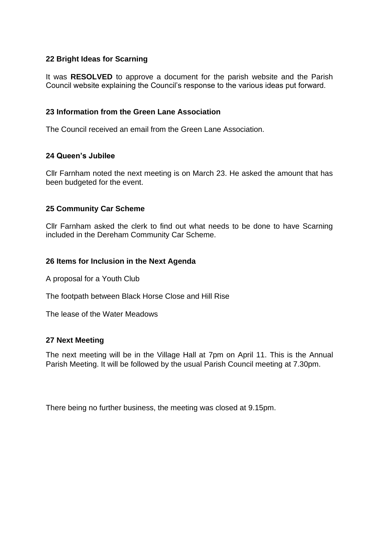# **22 Bright Ideas for Scarning**

It was **RESOLVED** to approve a document for the parish website and the Parish Council website explaining the Council's response to the various ideas put forward.

## **23 Information from the Green Lane Association**

The Council received an email from the Green Lane Association.

#### **24 Queen's Jubilee**

Cllr Farnham noted the next meeting is on March 23. He asked the amount that has been budgeted for the event.

# **25 Community Car Scheme**

Cllr Farnham asked the clerk to find out what needs to be done to have Scarning included in the Dereham Community Car Scheme.

#### **26 Items for Inclusion in the Next Agenda**

A proposal for a Youth Club

The footpath between Black Horse Close and Hill Rise

The lease of the Water Meadows

#### **27 Next Meeting**

The next meeting will be in the Village Hall at 7pm on April 11. This is the Annual Parish Meeting. It will be followed by the usual Parish Council meeting at 7.30pm.

There being no further business, the meeting was closed at 9.15pm.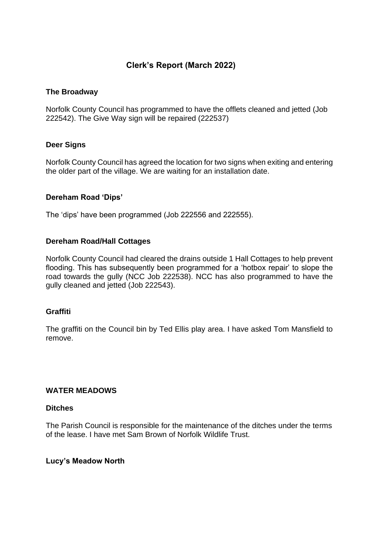# **Clerk's Report (March 2022)**

## **The Broadway**

Norfolk County Council has programmed to have the offlets cleaned and jetted (Job 222542). The Give Way sign will be repaired (222537)

#### **Deer Signs**

Norfolk County Council has agreed the location for two signs when exiting and entering the older part of the village. We are waiting for an installation date.

# **Dereham Road 'Dips'**

The 'dips' have been programmed (Job 222556 and 222555).

# **Dereham Road/Hall Cottages**

Norfolk County Council had cleared the drains outside 1 Hall Cottages to help prevent flooding. This has subsequently been programmed for a 'hotbox repair' to slope the road towards the gully (NCC Job 222538). NCC has also programmed to have the gully cleaned and jetted (Job 222543).

#### **Graffiti**

The graffiti on the Council bin by Ted Ellis play area. I have asked Tom Mansfield to remove.

#### **WATER MEADOWS**

#### **Ditches**

The Parish Council is responsible for the maintenance of the ditches under the terms of the lease. I have met Sam Brown of Norfolk Wildlife Trust.

#### **Lucy's Meadow North**